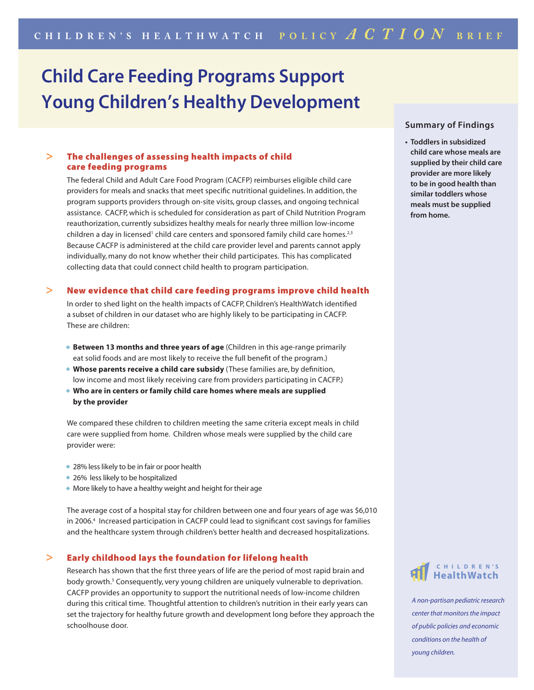# **Child Care Feeding Programs Support Young Children's Healthy Development**

# **>** The challenges of assessing health impacts of child care feeding programs

 The federal Child and Adult Care Food Program (CACFP) reimburses eligible child care providers for meals and snacks that meet specific nutritional guidelines. In addition, the program supports providers through on-site visits, group classes, and ongoing technical assistance. CACFP, which is scheduled for consideration as part of Child Nutrition Program reauthorization, currently subsidizes healthy meals for nearly three million low-income children a day in licensed<sup>1</sup> child care centers and sponsored family child care homes.<sup>2,3</sup> Because CACFP is administered at the child care provider level and parents cannot apply individually, many do not know whether their child participates. This has complicated collecting data that could connect child health to program participation.

#### **>** New evidence that child care feeding programs improve child health

 In order to shed light on the health impacts of CACFP, Children's HealthWatch identified a subset of children in our dataset who are highly likely to be participating in CACFP. These are children:

- **Between 13 months and three years of age** (Children in this age-range primarily eat solid foods and are most likely to receive the full benefit of the program.)
- **Whose parents receive a child care subsidy** (These families are, by definition, low income and most likely receiving care from providers participating in CACFP.)
- **Who are in centers or family child care homes where meals are supplied by the provider**

 We compared these children to children meeting the same criteria except meals in child care were supplied from home. Children whose meals were supplied by the child care provider were:

- 28% less likely to be in fair or poor health
- 26% less likely to be hospitalized
- More likely to have a healthy weight and height for their age

 The average cost of a hospital stay for children between one and four years of age was \$6,010 in 2006.4 Increased participation in CACFP could lead to significant cost savings for families and the healthcare system through children's better health and decreased hospitalizations.

## **>** Early childhood lays the foundation for lifelong health

 Research has shown that the first three years of life are the period of most rapid brain and body growth.<sup>5</sup> Consequently, very young children are uniquely vulnerable to deprivation. CACFP provides an opportunity to support the nutritional needs of low-income children during this critical time. Thoughtful attention to children's nutrition in their early years can set the trajectory for healthy future growth and development long before they approach the schoolhouse door.

## **Summary of Findings**

**• Toddlers in subsidized child care whose meals are supplied by their child care provider are more likely to be in good health than similar toddlers whose meals must be supplied from home.** 



*A non-partisan pediatric research center that monitors the impact of public policies and economic conditions on the health of young children.*